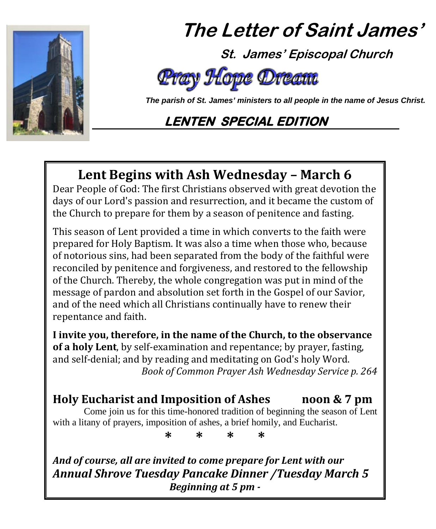

# **The Letter of Saint James'**

 **St. James' Episcopal Church**

# Pray Hope Dr

 *The parish of St. James' ministers to all people in the name of Jesus Christ.*

# **LENTEN SPECIAL EDITION**

# **Lent Begins with Ash Wednesday – March 6**

Dear People of God: The first Christians observed with great devotion the days of our Lord's passion and resurrection, and it became the custom of the Church to prepare for them by a season of penitence and fasting.

This season of Lent provided a time in which converts to the faith were prepared for Holy Baptism. It was also a time when those who, because of notorious sins, had been separated from the body of the faithful were reconciled by penitence and forgiveness, and restored to the fellowship of the Church. Thereby, the whole congregation was put in mind of the message of pardon and absolution set forth in the Gospel of our Savior, and of the need which all Christians continually have to renew their repentance and faith.

**I invite you, therefore, in the name of the Church, to the observance of a holy Lent**, by self-examination and repentance; by prayer, fasting, and self-denial; and by reading and meditating on God's holy Word. *Book of Common Prayer Ash Wednesday Service p. 264*

# **Holy Eucharist and Imposition of Ashes noon & 7 pm**

Come join us for this time-honored tradition of beginning the season of Lent with a litany of prayers, imposition of ashes, a brief homily, and Eucharist.

**\* \* \* \***

*And of course, all are invited to come prepare for Lent with our Annual Shrove Tuesday Pancake Dinner /Tuesday March 5 Beginning at 5 pm -*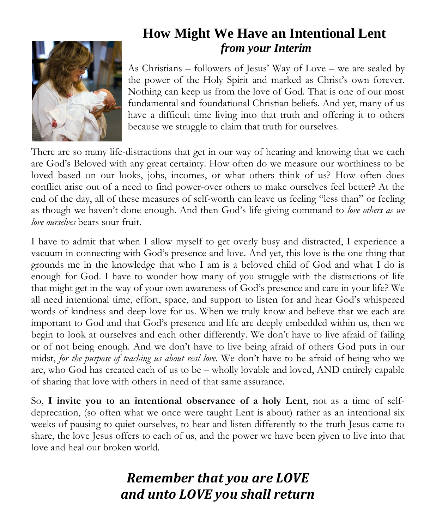

# **How Might We Have an Intentional Lent**  *from your Interim*

As Christians – followers of Jesus' Way of Love – we are sealed by the power of the Holy Spirit and marked as Christ's own forever. Nothing can keep us from the love of God. That is one of our most fundamental and foundational Christian beliefs. And yet, many of us have a difficult time living into that truth and offering it to others because we struggle to claim that truth for ourselves.

There are so many life-distractions that get in our way of hearing and knowing that we each are God's Beloved with any great certainty. How often do we measure our worthiness to be loved based on our looks, jobs, incomes, or what others think of us? How often does conflict arise out of a need to find power-over others to make ourselves feel better? At the end of the day, all of these measures of self-worth can leave us feeling "less than" or feeling as though we haven't done enough. And then God's life-giving command to *love others as we love ourselves* bears sour fruit.

I have to admit that when I allow myself to get overly busy and distracted, I experience a vacuum in connecting with God's presence and love. And yet, this love is the one thing that grounds me in the knowledge that who I am is a beloved child of God and what I do is enough for God. I have to wonder how many of you struggle with the distractions of life that might get in the way of your own awareness of God's presence and care in your life? We all need intentional time, effort, space, and support to listen for and hear God's whispered words of kindness and deep love for us. When we truly know and believe that we each are important to God and that God's presence and life are deeply embedded within us, then we begin to look at ourselves and each other differently. We don't have to live afraid of failing or of not being enough. And we don't have to live being afraid of others God puts in our midst, *for the purpose of teaching us about real love*. We don't have to be afraid of being who we are, who God has created each of us to be – wholly lovable and loved, AND entirely capable of sharing that love with others in need of that same assurance.

So, **I invite you to an intentional observance of a holy Lent**, not as a time of selfdeprecation, (so often what we once were taught Lent is about) rather as an intentional six weeks of pausing to quiet ourselves, to hear and listen differently to the truth Jesus came to share, the love Jesus offers to each of us, and the power we have been given to live into that love and heal our broken world.

# *Remember that you are LOVE and unto LOVE you shall return*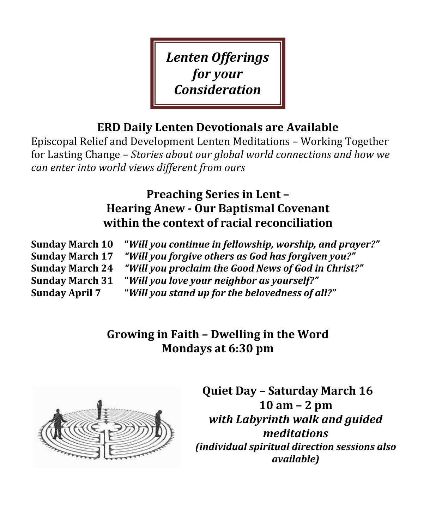*Lenten Offerings for your Consideration*

### **ERD Daily Lenten Devotionals are Available**

Episcopal Relief and Development Lenten Meditations – Working Together for Lasting Change – *Stories about our global world connections and how we can enter into world views different from ours*

### **Preaching Series in Lent – Hearing Anew - Our Baptismal Covenant within the context of racial reconciliation**

**Sunday March 10 "***Will you continue in fellowship, worship, and prayer?"* **Sunday March 17** *"Will you forgive others as God has forgiven you?"* **Sunday March 24** *"Will you proclaim the Good News of God in Christ?"* **Sunday March 31 "***Will you love your neighbor as yourself?"* **Sunday April 7 "***Will you stand up for the belovedness of all?"*

> **Growing in Faith – Dwelling in the Word Mondays at 6:30 pm**



**Quiet Day – Saturday March 16 10 am – 2 pm** *with Labyrinth walk and guided meditations (individual spiritual direction sessions also available)*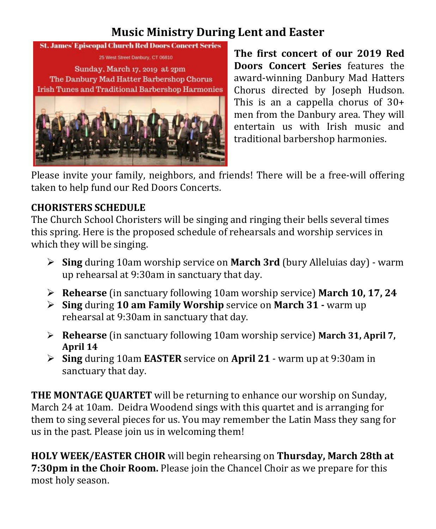### **Music Ministry During Lent and Easter**

#### **St. James' Episcopal Church Red Doors Concert Series**

25 West Street Danbury, CT 06810

Sunday, March 17, 2019 at 2pm The Danbury Mad Hatter Barbershop Chorus **Irish Tunes and Traditional Barbershop Harmonies** 



**The first concert of our 2019 Red Doors Concert Series** features the award-winning Danbury Mad Hatters Chorus directed by Joseph Hudson. This is an a cappella chorus of 30+ men from the Danbury area. They will entertain us with Irish music and traditional barbershop harmonies.

Please invite your family, neighbors, and friends! There will be a free-will offering taken to help fund our Red Doors Concerts.

#### **CHORISTERS SCHEDULE**

The Church School Choristers will be singing and ringing their bells several times this spring. Here is the proposed schedule of rehearsals and worship services in which they will be singing.

- **Sing** during 10am worship service on **March 3rd** (bury Alleluias day) warm up rehearsal at 9:30am in sanctuary that day.
- **Rehearse** (in sanctuary following 10am worship service) **March 10, 17, 24**
- **Sing** during **10 am Family Worship** service on **March 31 -** warm up rehearsal at 9:30am in sanctuary that day.
- **Rehearse** (in sanctuary following 10am worship service) **March 31, April 7, April 14**
- **Sing** during 10am **EASTER** service on **April 21** warm up at 9:30am in sanctuary that day.

**THE MONTAGE QUARTET** will be returning to enhance our worship on Sunday, March 24 at 10am. Deidra Woodend sings with this quartet and is arranging for them to sing several pieces for us. You may remember the Latin Mass they sang for us in the past. Please join us in welcoming them!

**HOLY WEEK/EASTER CHOIR** will begin rehearsing on **Thursday, March 28th at 7:30pm in the Choir Room.** Please join the Chancel Choir as we prepare for this most holy season.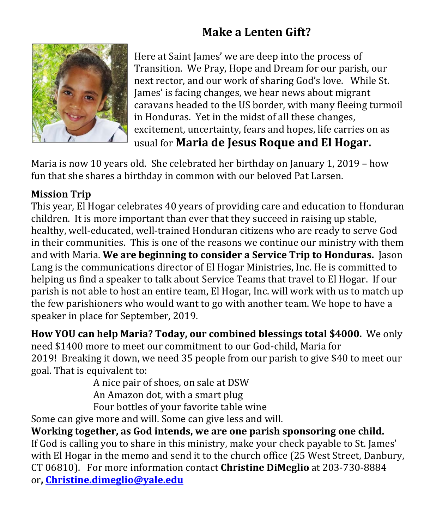# **Make a Lenten Gift?**



Here at Saint James' we are deep into the process of Transition. We Pray, Hope and Dream for our parish, our next rector, and our work of sharing God's love. While St. James' is facing changes, we hear news about migrant caravans headed to the US border, with many fleeing turmoil in Honduras. Yet in the midst of all these changes, excitement, uncertainty, fears and hopes, life carries on as usual for **Maria de Jesus Roque and El Hogar.**

Maria is now 10 years old. She celebrated her birthday on January 1, 2019 – how fun that she shares a birthday in common with our beloved Pat Larsen.

#### **Mission Trip**

This year, El Hogar celebrates 40 years of providing care and education to Honduran children. It is more important than ever that they succeed in raising up stable, healthy, well-educated, well-trained Honduran citizens who are ready to serve God in their communities. This is one of the reasons we continue our ministry with them and with Maria. **We are beginning to consider a Service Trip to Honduras.** Jason Lang is the communications director of El Hogar Ministries, Inc. He is committed to helping us find a speaker to talk about Service Teams that travel to El Hogar. If our parish is not able to host an entire team, El Hogar, Inc. will work with us to match up the few parishioners who would want to go with another team. We hope to have a speaker in place for September, 2019.

**How YOU can help Maria? Today, our combined blessings total \$4000.** We only need \$1400 more to meet our commitment to our God-child, Maria for 2019! Breaking it down, we need 35 people from our parish to give \$40 to meet our goal. That is equivalent to:

A nice pair of shoes, on sale at DSW An Amazon dot, with a smart plug

Four bottles of your favorite table wine

Some can give more and will. Some can give less and will.

**Working together, as God intends, we are one parish sponsoring one child.** If God is calling you to share in this ministry, make your check payable to St. James' with El Hogar in the memo and send it to the church office (25 West Street, Danbury, CT 06810). For more information contact **Christine DiMeglio** at 203-730-8884 or**, [Christine.dimeglio@yale.edu](mailto:Christine.dimeglio@yale.edu)**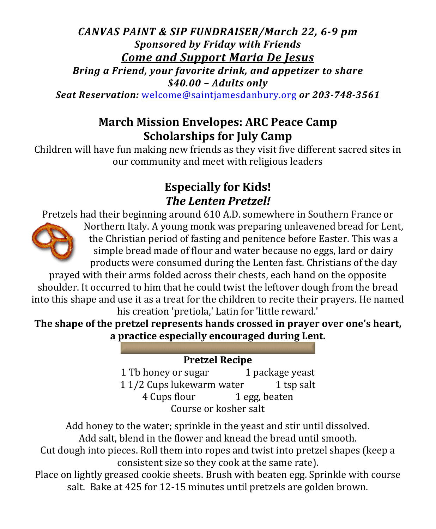#### *CANVAS PAINT & SIP FUNDRAISER/March 22, 6-9 pm Sponsored by Friday with Friends Come and Support Maria De Jesus*

*Bring a Friend, your favorite drink, and appetizer to share \$40.00 – Adults only*

*Seat Reservation:* [welcome@saintjamesdanbury.org](mailto:welcome@saintjamesdanbury.org) *or 203-748-3561*

### **March Mission Envelopes: ARC Peace Camp Scholarships for July Camp**

Children will have fun making new friends as they visit five different sacred sites in our community and meet with religious leaders

### **Especially for Kids!** *The Lenten Pretzel!*

Pretzels had their beginning around 610 A.D. somewhere in Southern France or



Northern Italy. A young monk was preparing unleavened bread for Lent, the Christian period of fasting and penitence before Easter. This was a simple bread made of flour and water because no eggs, lard or dairy products were consumed during the Lenten fast. Christians of the day

prayed with their arms folded across their chests, each hand on the opposite shoulder. It occurred to him that he could twist the leftover dough from the bread into this shape and use it as a treat for the children to recite their prayers. He named his creation 'pretiola,' Latin for 'little reward.'

**The shape of the pretzel represents hands crossed in prayer over one's heart, a practice especially encouraged during Lent.**

#### **Pretzel Recipe**

1 Tb honey or sugar 1 package yeast<br>1 1/2 Cups lukewarm water 1 tsp salt 1 1/2 Cups lukewarm water 1 tsp 4 Cups flour 1 egg, beaten 4 Cups flour Course or kosher salt

Add honey to the water; sprinkle in the yeast and stir until dissolved. Add salt, blend in the flower and knead the bread until smooth.

Cut dough into pieces. Roll them into ropes and twist into pretzel shapes (keep a consistent size so they cook at the same rate).

Place on lightly greased cookie sheets. Brush with beaten egg. Sprinkle with course salt. Bake at 425 for 12-15 minutes until pretzels are golden brown.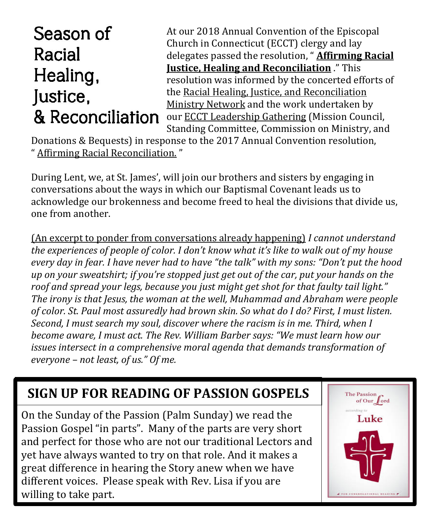# Season of Racial Healing, Justice, & Reconciliation

At our 2018 Annual Convention of the Episcopal Church in Connecticut (ECCT) clergy and lay delegates passed the resolution, " **[Affirming Racial](https://www.episcopalct.org/FileRepository/DownloadFile.aspx?FileID=1696)  [Justice, Healing and Reconciliation](https://www.episcopalct.org/FileRepository/DownloadFile.aspx?FileID=1696)** ." This resolution was informed by the concerted efforts of the [Racial Healing, Justice, and Reconciliation](https://www.episcopalct.org/Find-Resources/ministry-networks/racialhealingjusticereconciliation/)  [Ministry Network](https://www.episcopalct.org/Find-Resources/ministry-networks/racialhealingjusticereconciliation/) and the work undertaken by our [ECCT Leadership Gathering](https://www.episcopalct.org/about/Governance/) (Mission Council, Standing Committee, Commission on Ministry, and

Donations & Bequests) in response to the 2017 Annual Convention resolution, " [Affirming Racial Reconciliation.](https://www.episcopalct.org/FileRepository/DownloadFile.aspx?FileID=1628) "

During Lent, we, at St. James', will join our brothers and sisters by engaging in conversations about the ways in which our Baptismal Covenant leads us to acknowledge our brokenness and become freed to heal the divisions that divide us, one from another.

(An excerpt to ponder from conversations already happening) *I cannot understand the experiences of people of color. I don't know what it's like to walk out of my house every day in fear. I have never had to have "the talk" with my sons: "Don't put the hood up on your sweatshirt; if you're stopped just get out of the car, put your hands on the roof and spread your legs, because you just might get shot for that faulty tail light." The irony is that Jesus, the woman at the well, Muhammad and Abraham were people of color. St. Paul most assuredly had brown skin. So what do I do? First, I must listen. Second, I must search my soul, discover where the racism is in me. Third, when I become aware, I must act. The Rev. William Barber says: "We must learn how our issues intersect in a comprehensive moral agenda that demands transformation of everyone – not least, of us." Of me.*

#### $\overline{\phantom{a}}$ **SIGN UP FOR READING OF PASSION GOSPELS**

֚֡֕֡֕ On the Sunday of the Passion (Palm Sunday) we read the Passion Gospel "in parts". Many of the parts are very short and perfect for those who are not our traditional Lectors and yet have always wanted to try on that role. And it makes a great difference in hearing the Story anew when we have different voices. Please speak with Rev. Lisa if you are willing to take part.

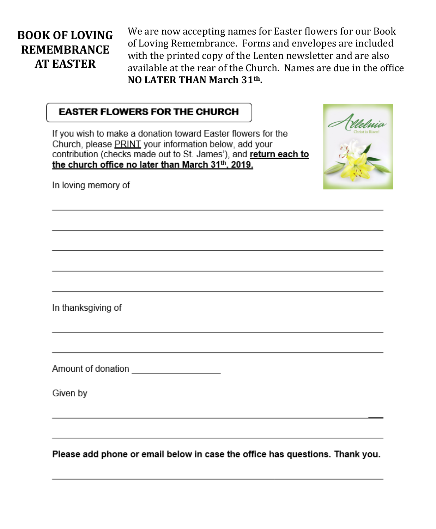#### **BOOK OF LOVING REMEMBRANCE AT EASTER**

We are now accepting names for Easter flowers for our Book of Loving Remembrance. Forms and envelopes are included with the printed copy of the Lenten newsletter and are also available at the rear of the Church. Names are due in the office NO LATER THAN March 31th.

#### **EASTER FLOWERS FOR THE CHURCH**

If you wish to make a donation toward Easter flowers for the Church, please PRINT your information below, add your contribution (checks made out to St. James'), and return each to the church office no later than March 31th, 2019.



In loving memory of

In thanksgiving of

Amount of donation **contains the contract of the contract of the contract of the contract of the contract of the contract of the contract of the contract of the contract of the contract of the contract of the contract of t** 

Given by

Please add phone or email below in case the office has questions. Thank you.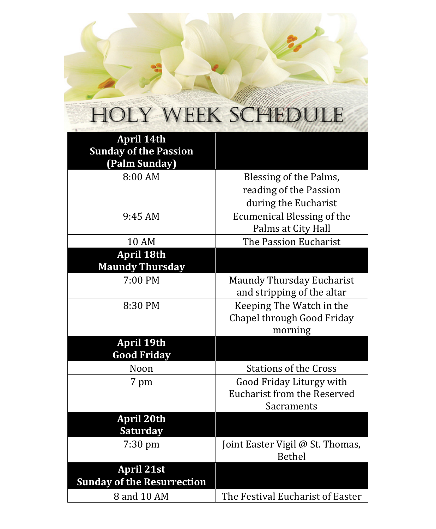# HOLY WEEK SCHEDULE

| <b>April 14th</b><br><b>Sunday of the Passion</b> |                                                                |
|---------------------------------------------------|----------------------------------------------------------------|
| (Palm Sunday)                                     |                                                                |
| 8:00 AM                                           | Blessing of the Palms,                                         |
|                                                   | reading of the Passion                                         |
|                                                   | during the Eucharist                                           |
| 9:45 AM                                           | <b>Ecumenical Blessing of the</b>                              |
|                                                   | Palms at City Hall                                             |
| <b>10 AM</b>                                      | The Passion Eucharist                                          |
| <b>April 18th</b>                                 |                                                                |
| <b>Maundy Thursday</b>                            |                                                                |
| 7:00 PM                                           | Maundy Thursday Eucharist                                      |
|                                                   | and stripping of the altar                                     |
| 8:30 PM                                           | Keeping The Watch in the                                       |
|                                                   | Chapel through Good Friday                                     |
|                                                   | morning                                                        |
| April 19th                                        |                                                                |
| <b>Good Friday</b><br>Noon                        | <b>Stations of the Cross</b>                                   |
|                                                   |                                                                |
| 7 pm                                              | Good Friday Liturgy with<br><b>Eucharist from the Reserved</b> |
|                                                   | Sacraments                                                     |
| <b>April 20th</b>                                 |                                                                |
| <b>Saturday</b>                                   |                                                                |
| $7:30$ pm                                         | Joint Easter Vigil @ St. Thomas,                               |
|                                                   | Bethel                                                         |
| <b>April 21st</b>                                 |                                                                |
| <b>Sunday of the Resurrection</b>                 |                                                                |
| 8 and 10 AM                                       | The Festival Eucharist of Easter                               |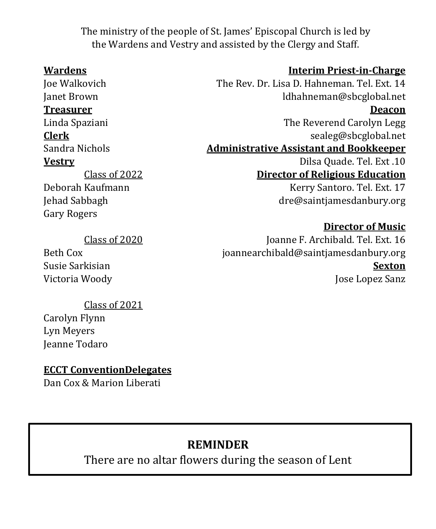The ministry of the people of St. James' Episcopal Church is led by the Wardens and Vestry and assisted by the Clergy and Staff.

Class of 2022 Deborah Kaufmann Jehad Sabbagh Gary Rogers

Joe Walkovich The Rev. Dr. Lisa D. Hahneman. Tel. Ext. 14 Janet Brown ldhahneman@sbcglobal.net **Treasurer Deacon** Linda Spaziani The Reverend Carolyn Legg **Clerk** [sealeg@sbcglobal.net](mailto:sealeg@sbcglobal.net) Administrative Assistant and Bookkeeper **Vestry** Dilsa Quade. Tel. Ext .10 **Director of Religious Education** Kerry Santoro. Tel. Ext. 17 [dre@saintjamesdanbury.org](mailto:dre@saintjamesdanbury.org)

#### **Director of Music**

Joanne F. Archibald. Tel. Ext. 16 [joannearchibald@saintjamesdanbury.org](mailto:joannearchibald@saintjamesdanbury.org) **Sexton** Jose Lopez Sanz

Class of 2020 Beth Cox

Susie Sarkisian Victoria Woody

Class of 2021

Carolyn Flynn Lyn Meyers Jeanne Todaro

**ECCT ConventionDelegates**

Dan Cox & Marion Liberati

### **REMINDER**

There are no altar flowers during the season of Lent

#### **Wardens Interim Priest-in-Charge**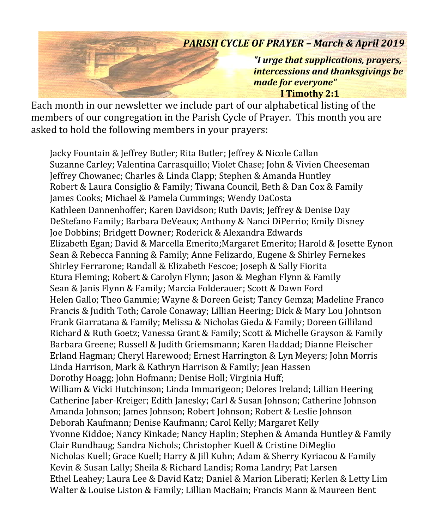#### *PARISH CYCLE OF PRAYER – March & April 2019*

*"I urge that supplications, prayers, intercessions and thanksgivings be made for everyone"*  **I Timothy 2:1**

Each month in our newsletter we include part of our alphabetical listing of the members of our congregation in the Parish Cycle of Prayer. This month you are asked to hold the following members in your prayers:

Jacky Fountain & Jeffrey Butler; Rita Butler; Jeffrey & Nicole Callan Suzanne Carley; Valentina Carrasquillo; Violet Chase; John & Vivien Cheeseman Jeffrey Chowanec; Charles & Linda Clapp; Stephen & Amanda Huntley Robert & Laura Consiglio & Family; Tiwana Council, Beth & Dan Cox & Family James Cooks; Michael & Pamela Cummings; Wendy DaCosta Kathleen Dannenhoffer; Karen Davidson; Ruth Davis; Jeffrey & Denise Day DeStefano Family; Barbara DeVeaux; Anthony & Nanci DiPerrio; Emily Disney Joe Dobbins; Bridgett Downer; Roderick & Alexandra Edwards Elizabeth Egan; David & Marcella Emerito;Margaret Emerito; Harold & Josette Eynon Sean & Rebecca Fanning & Family; Anne Felizardo, Eugene & Shirley Fernekes Shirley Ferrarone; Randall & Elizabeth Fescoe; Joseph & Sally Fiorita Etura Fleming; Robert & Carolyn Flynn; Jason & Meghan Flynn & Family Sean & Janis Flynn & Family; Marcia Folderauer; Scott & Dawn Ford Helen Gallo; Theo Gammie; Wayne & Doreen Geist; Tancy Gemza; Madeline Franco Francis & Judith Toth; Carole Conaway; Lillian Heering; Dick & Mary Lou Johntson Frank Giarratana & Family; Melissa & Nicholas Gieda & Family; Doreen Gilliland Richard & Ruth Goetz; Vanessa Grant & Family; Scott & Michelle Grayson & Family Barbara Greene; Russell & Judith Griemsmann; Karen Haddad; Dianne Fleischer Erland Hagman; Cheryl Harewood; Ernest Harrington & Lyn Meyers; John Morris Linda Harrison, Mark & Kathryn Harrison & Family; Jean Hassen Dorothy Hoagg; John Hofmann; Denise Holl; Virginia Huff; William & Vicki Hutchinson; Linda Immarigeon; Delores Ireland; Lillian Heering Catherine Jaber-Kreiger; Edith Janesky; Carl & Susan Johnson; Catherine Johnson Amanda Johnson; James Johnson; Robert Johnson; Robert & Leslie Johnson Deborah Kaufmann; Denise Kaufmann; Carol Kelly; Margaret Kelly Yvonne Kiddoe; Nancy Kinkade; Nancy Haplin; Stephen & Amanda Huntley & Family Clair Rundhaug; Sandra Nichols; Christopher Kuell & Cristine DiMeglio Nicholas Kuell; Grace Kuell; Harry & Jill Kuhn; Adam & Sherry Kyriacou & Family Kevin & Susan Lally; Sheila & Richard Landis; Roma Landry; Pat Larsen Ethel Leahey; Laura Lee & David Katz; Daniel & Marion Liberati; Kerlen & Letty Lim Walter & Louise Liston & Family; Lillian MacBain; Francis Mann & Maureen Bent